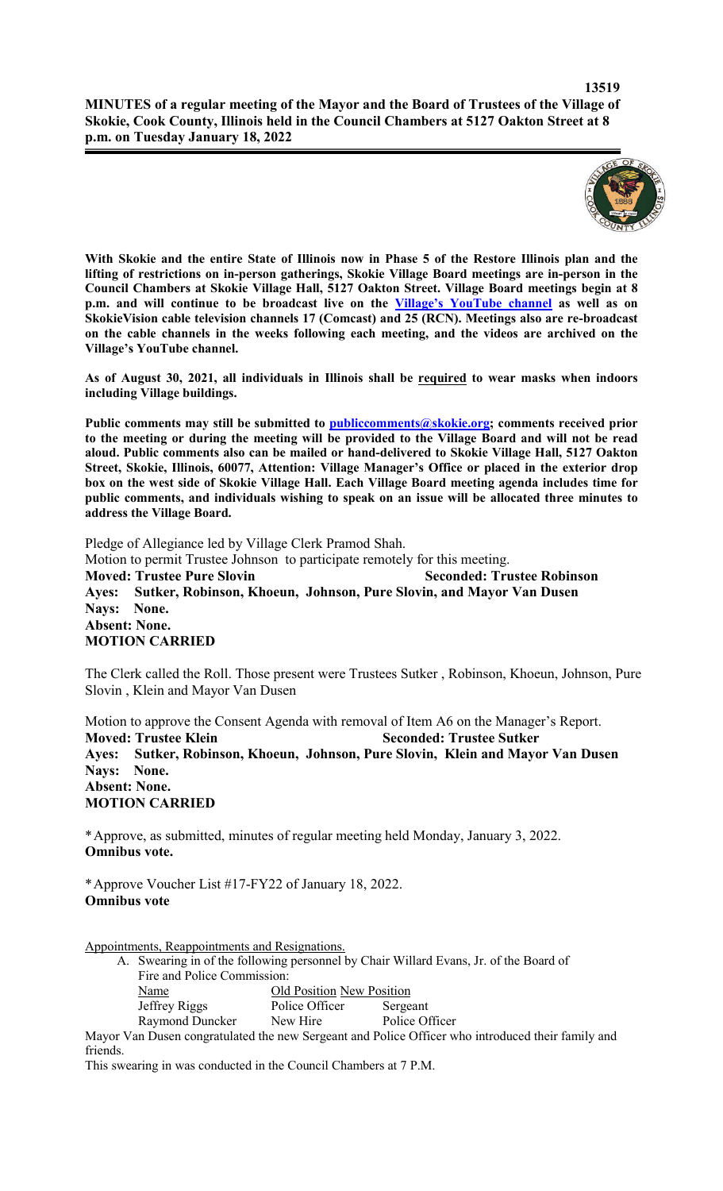

**With Skokie and the entire State of Illinois now in Phase 5 of the Restore Illinois plan and the lifting of restrictions on in-person gatherings, Skokie Village Board meetings are in-person in the Council Chambers at Skokie Village Hall, 5127 Oakton Street. Village Board meetings begin at 8 p.m. and will continue to be broadcast live on the Village's YouTube channel as well as on SkokieVision cable television channels 17 (Comcast) and 25 (RCN). Meetings also are re-broadcast on the cable channels in the weeks following each meeting, and the videos are archived on the Village's YouTube channel.**

**As of August 30, 2021, all individuals in Illinois shall be required to wear masks when indoors including Village buildings.** 

Public comments may still be submitted to publiccomments@skokie.org; comments received prior **to the meeting or during the meeting will be provided to the Village Board and will not be read aloud. Public comments also can be mailed or hand-delivered to Skokie Village Hall, 5127 Oakton Street, Skokie, Illinois, 60077, Attention: Village Manager's Office or placed in the exterior drop box on the west side of Skokie Village Hall. Each Village Board meeting agenda includes time for public comments, and individuals wishing to speak on an issue will be allocated three minutes to address the Village Board.**

Pledge of Allegiance led by Village Clerk Pramod Shah. Motion to permit Trustee Johnson to participate remotely for this meeting. **Moved: Trustee Pure Slovin Seconded: Trustee Robinson Ayes: Sutker, Robinson, Khoeun, Johnson, Pure Slovin, and Mayor Van Dusen Nays: None. Absent: None. MOTION CARRIED**

The Clerk called the Roll. Those present were Trustees Sutker , Robinson, Khoeun, Johnson, Pure Slovin , Klein and Mayor Van Dusen

Motion to approve the Consent Agenda with removal of Item A6 on the Manager's Report. **Moved: Trustee Klein Seconded: Trustee Sutker Ayes: Sutker, Robinson, Khoeun, Johnson, Pure Slovin, Klein and Mayor Van Dusen Nays: None. Absent: None. MOTION CARRIED**

\*Approve, as submitted, minutes of regular meeting held Monday, January 3, 2022. **Omnibus vote.**

\*Approve Voucher List #17-FY22 of January 18, 2022. **Omnibus vote**

Appointments, Reappointments and Resignations.

- A. Swearing in of the following personnel by Chair Willard Evans, Jr. of the Board of Fire and Police Commission: Name Old Position New Position Jeffrey Riggs Police Officer Sergeant Raymond Duncker New Hire Police Officer
- Mayor Van Dusen congratulated the new Sergeant and Police Officer who introduced their family and friends.

This swearing in was conducted in the Council Chambers at 7 P.M.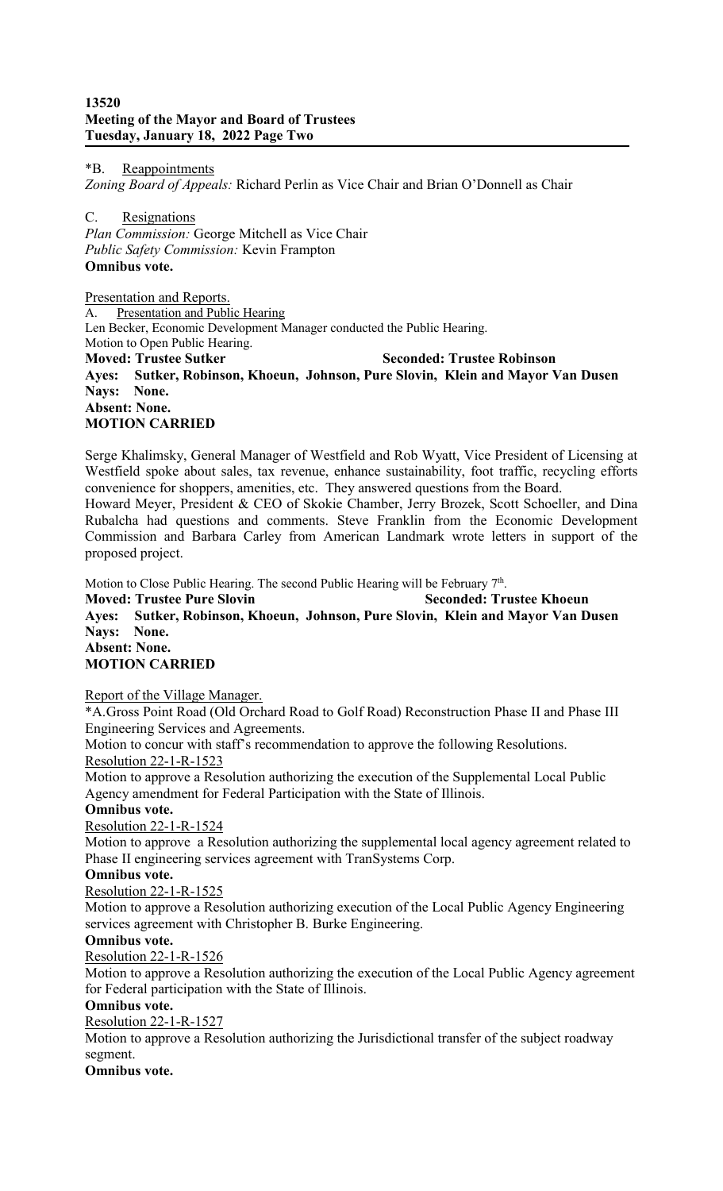## **13520 Meeting of the Mayor and Board of Trustees Tuesday, January 18, 2022 Page Two**

\*B. Reappointments *Zoning Board of Appeals:* Richard Perlin as Vice Chair and Brian O'Donnell as Chair

C. Resignations *Plan Commission:* George Mitchell as Vice Chair *Public Safety Commission:* Kevin Frampton **Omnibus vote.**

Presentation and Reports. A. Presentation and Public Hearing Len Becker, Economic Development Manager conducted the Public Hearing. Motion to Open Public Hearing. **Moved: Trustee Sutker Seconded: Trustee Robinson Ayes: Sutker, Robinson, Khoeun, Johnson, Pure Slovin, Klein and Mayor Van Dusen Nays: None. Absent: None. MOTION CARRIED**

Serge Khalimsky, General Manager of Westfield and Rob Wyatt, Vice President of Licensing at Westfield spoke about sales, tax revenue, enhance sustainability, foot traffic, recycling efforts convenience for shoppers, amenities, etc. They answered questions from the Board. Howard Meyer, President & CEO of Skokie Chamber, Jerry Brozek, Scott Schoeller, and Dina Rubalcha had questions and comments. Steve Franklin from the Economic Development Commission and Barbara Carley from American Landmark wrote letters in support of the proposed project.

Motion to Close Public Hearing. The second Public Hearing will be February 7<sup>th</sup>.

**Moved: Trustee Pure Slovin Seconded: Trustee Khoeun Ayes: Sutker, Robinson, Khoeun, Johnson, Pure Slovin, Klein and Mayor Van Dusen Nays: None. Absent: None. MOTION CARRIED**

# Report of the Village Manager.

\*A.Gross Point Road (Old Orchard Road to Golf Road) Reconstruction Phase II and Phase III Engineering Services and Agreements.

Motion to concur with staff's recommendation to approve the following Resolutions.

## Resolution 22-1-R-1523

Motion to approve a Resolution authorizing the execution of the Supplemental Local Public Agency amendment for Federal Participation with the State of Illinois.

## **Omnibus vote.**

Resolution 22-1-R-1524

Motion to approve a Resolution authorizing the supplemental local agency agreement related to Phase II engineering services agreement with TranSystems Corp.

## **Omnibus vote.**

## Resolution 22-1-R-1525

Motion to approve a Resolution authorizing execution of the Local Public Agency Engineering services agreement with Christopher B. Burke Engineering.

## **Omnibus vote.**

Resolution 22-1-R-1526

Motion to approve a Resolution authorizing the execution of the Local Public Agency agreement for Federal participation with the State of Illinois.

## **Omnibus vote.**

Resolution 22-1-R-1527

Motion to approve a Resolution authorizing the Jurisdictional transfer of the subject roadway segment.

## **Omnibus vote.**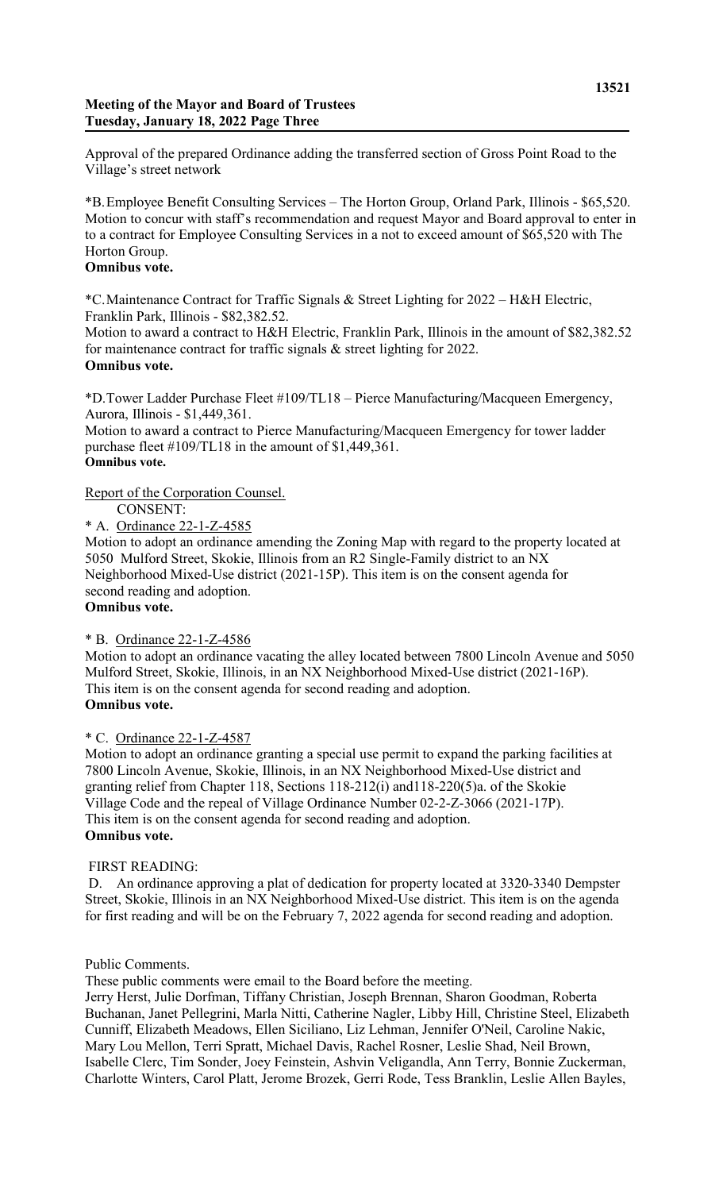## **Meeting of the Mayor and Board of Trustees Tuesday, January 18, 2022 Page Three**

Approval of the prepared Ordinance adding the transferred section of Gross Point Road to the Village's street network

\*B.Employee Benefit Consulting Services – The Horton Group, Orland Park, Illinois - \$65,520. Motion to concur with staff's recommendation and request Mayor and Board approval to enter in to a contract for Employee Consulting Services in a not to exceed amount of \$65,520 with The Horton Group.

### **Omnibus vote.**

\*C.Maintenance Contract for Traffic Signals & Street Lighting for 2022 – H&H Electric, Franklin Park, Illinois - \$82,382.52.

Motion to award a contract to H&H Electric, Franklin Park, Illinois in the amount of \$82,382.52 for maintenance contract for traffic signals & street lighting for 2022. **Omnibus vote.**

\*D.Tower Ladder Purchase Fleet #109/TL18 – Pierce Manufacturing/Macqueen Emergency, Aurora, Illinois - \$1,449,361.

Motion to award a contract to Pierce Manufacturing/Macqueen Emergency for tower ladder purchase fleet #109/TL18 in the amount of \$1,449,361. **Omnibus vote.**

Report of the Corporation Counsel.

## CONSENT:

\* A. Ordinance 22-1-Z-4585

Motion to adopt an ordinance amending the Zoning Map with regard to the property located at 5050 Mulford Street, Skokie, Illinois from an R2 Single-Family district to an NX Neighborhood Mixed-Use district (2021-15P). This item is on the consent agenda for second reading and adoption.

## **Omnibus vote.**

## \* B. Ordinance 22-1-Z-4586

Motion to adopt an ordinance vacating the alley located between 7800 Lincoln Avenue and 5050 Mulford Street, Skokie, Illinois, in an NX Neighborhood Mixed-Use district (2021-16P). This item is on the consent agenda for second reading and adoption. **Omnibus vote.**

## \* C. Ordinance 22-1-Z-4587

Motion to adopt an ordinance granting a special use permit to expand the parking facilities at 7800 Lincoln Avenue, Skokie, Illinois, in an NX Neighborhood Mixed-Use district and granting relief from Chapter 118, Sections 118-212(i) and118-220(5)a. of the Skokie Village Code and the repeal of Village Ordinance Number 02-2-Z-3066 (2021-17P). This item is on the consent agenda for second reading and adoption. **Omnibus vote.**

## FIRST READING:

D. An ordinance approving a plat of dedication for property located at 3320-3340 Dempster Street, Skokie, Illinois in an NX Neighborhood Mixed-Use district. This item is on the agenda for first reading and will be on the February 7, 2022 agenda for second reading and adoption.

#### Public Comments.

These public comments were email to the Board before the meeting.

Jerry Herst, Julie Dorfman, Tiffany Christian, Joseph Brennan, Sharon Goodman, Roberta Buchanan, Janet Pellegrini, Marla Nitti, Catherine Nagler, Libby Hill, Christine Steel, Elizabeth Cunniff, Elizabeth Meadows, Ellen Siciliano, Liz Lehman, Jennifer O'Neil, Caroline Nakic, Mary Lou Mellon, Terri Spratt, Michael Davis, Rachel Rosner, Leslie Shad, Neil Brown, Isabelle Clerc, Tim Sonder, Joey Feinstein, Ashvin Veligandla, Ann Terry, Bonnie Zuckerman, Charlotte Winters, Carol Platt, Jerome Brozek, Gerri Rode, Tess Branklin, Leslie Allen Bayles,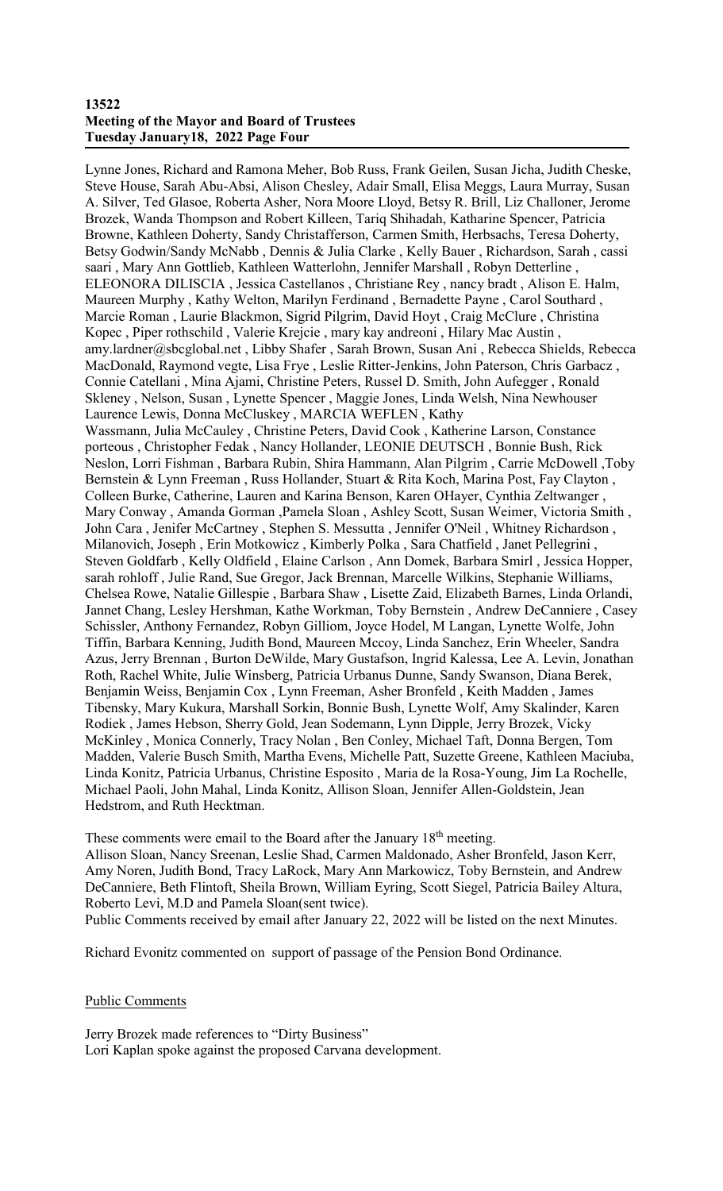#### **13522 Meeting of the Mayor and Board of Trustees Tuesday January18, 2022 Page Four**

Lynne Jones, Richard and Ramona Meher, Bob Russ, Frank Geilen, Susan Jicha, Judith Cheske, Steve House, Sarah Abu-Absi, Alison Chesley, Adair Small, Elisa Meggs, Laura Murray, Susan A. Silver, Ted Glasoe, Roberta Asher, Nora Moore Lloyd, Betsy R. Brill, Liz Challoner, Jerome Brozek, Wanda Thompson and Robert Killeen, Tariq Shihadah, Katharine Spencer, Patricia Browne, Kathleen Doherty, Sandy Christafferson, Carmen Smith, Herbsachs, Teresa Doherty, Betsy Godwin/Sandy McNabb , Dennis & Julia Clarke , Kelly Bauer , Richardson, Sarah , cassi saari , Mary Ann Gottlieb, Kathleen Watterlohn, Jennifer Marshall , Robyn Detterline , ELEONORA DILISCIA , Jessica Castellanos , Christiane Rey , nancy bradt , Alison E. Halm, Maureen Murphy , Kathy Welton, Marilyn Ferdinand , Bernadette Payne , Carol Southard , Marcie Roman , Laurie Blackmon, Sigrid Pilgrim, David Hoyt , Craig McClure , Christina Kopec , Piper rothschild , Valerie Krejcie , mary kay andreoni , Hilary Mac Austin , amy.lardner@sbcglobal.net , Libby Shafer , Sarah Brown, Susan Ani , Rebecca Shields, Rebecca MacDonald, Raymond vegte, Lisa Frye , Leslie Ritter-Jenkins, John Paterson, Chris Garbacz , Connie Catellani , Mina Ajami, Christine Peters, Russel D. Smith, John Aufegger , Ronald Skleney , Nelson, Susan , Lynette Spencer , Maggie Jones, Linda Welsh, Nina Newhouser Laurence Lewis, Donna McCluskey , MARCIA WEFLEN , Kathy Wassmann, Julia McCauley , Christine Peters, David Cook , Katherine Larson, Constance porteous , Christopher Fedak , Nancy Hollander, LEONIE DEUTSCH , Bonnie Bush, Rick Neslon, Lorri Fishman , Barbara Rubin, Shira Hammann, Alan Pilgrim , Carrie McDowell ,Toby Bernstein & Lynn Freeman , Russ Hollander, Stuart & Rita Koch, Marina Post, Fay Clayton , Colleen Burke, Catherine, Lauren and Karina Benson, Karen OHayer, Cynthia Zeltwanger , Mary Conway , Amanda Gorman ,Pamela Sloan , Ashley Scott, Susan Weimer, Victoria Smith , John Cara , Jenifer McCartney , Stephen S. Messutta , Jennifer O'Neil , Whitney Richardson , Milanovich, Joseph , Erin Motkowicz , Kimberly Polka , Sara Chatfield , Janet Pellegrini , Steven Goldfarb , Kelly Oldfield , Elaine Carlson , Ann Domek, Barbara Smirl , Jessica Hopper, sarah rohloff , Julie Rand, Sue Gregor, Jack Brennan, Marcelle Wilkins, Stephanie Williams, Chelsea Rowe, Natalie Gillespie , Barbara Shaw , Lisette Zaid, Elizabeth Barnes, Linda Orlandi, Jannet Chang, Lesley Hershman, Kathe Workman, Toby Bernstein , Andrew DeCanniere , Casey Schissler, Anthony Fernandez, Robyn Gilliom, Joyce Hodel, M Langan, Lynette Wolfe, John Tiffin, Barbara Kenning, Judith Bond, Maureen Mccoy, Linda Sanchez, Erin Wheeler, Sandra Azus, Jerry Brennan , Burton DeWilde, Mary Gustafson, Ingrid Kalessa, Lee A. Levin, Jonathan Roth, Rachel White, Julie Winsberg, Patricia Urbanus Dunne, Sandy Swanson, Diana Berek, Benjamin Weiss, Benjamin Cox , Lynn Freeman, Asher Bronfeld , Keith Madden , James Tibensky, Mary Kukura, Marshall Sorkin, Bonnie Bush, Lynette Wolf, Amy Skalinder, Karen Rodiek , James Hebson, Sherry Gold, Jean Sodemann, Lynn Dipple, Jerry Brozek, Vicky McKinley , Monica Connerly, Tracy Nolan , Ben Conley, Michael Taft, Donna Bergen, Tom Madden, Valerie Busch Smith, Martha Evens, Michelle Patt, Suzette Greene, Kathleen Maciuba, Linda Konitz, Patricia Urbanus, Christine Esposito , Maria de la Rosa-Young, Jim La Rochelle, Michael Paoli, John Mahal, Linda Konitz, Allison Sloan, Jennifer Allen-Goldstein, Jean Hedstrom, and Ruth Hecktman.

These comments were email to the Board after the January 18<sup>th</sup> meeting. Allison Sloan, Nancy Sreenan, Leslie Shad, Carmen Maldonado, Asher Bronfeld, Jason Kerr, Amy Noren, Judith Bond, Tracy LaRock, Mary Ann Markowicz, Toby Bernstein, and Andrew DeCanniere, Beth Flintoft, Sheila Brown, William Eyring, Scott Siegel, Patricia Bailey Altura, Roberto Levi, M.D and Pamela Sloan(sent twice).

Public Comments received by email after January 22, 2022 will be listed on the next Minutes.

Richard Evonitz commented on support of passage of the Pension Bond Ordinance.

Public Comments

Jerry Brozek made references to "Dirty Business" Lori Kaplan spoke against the proposed Carvana development.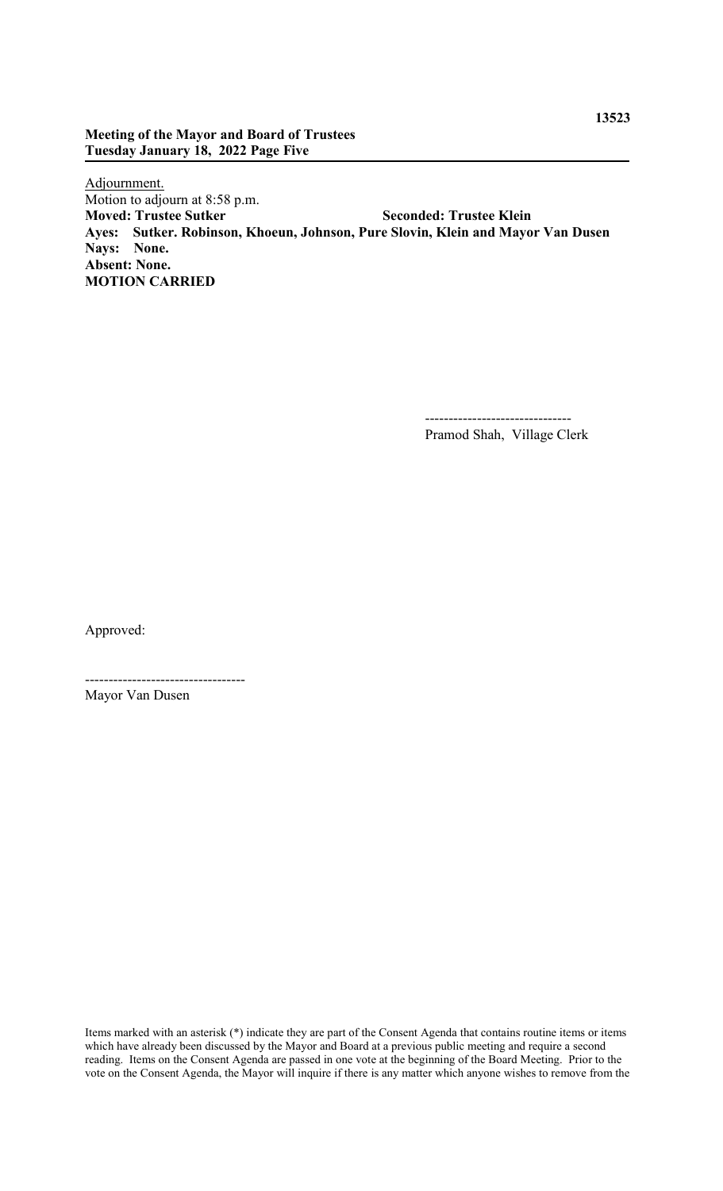## **Meeting of the Mayor and Board of Trustees Tuesday January 18, 2022 Page Five**

Adjournment. Motion to adjourn at 8:58 p.m.<br>Moved: Trustee Sutker **Moved: Trustee Sutker Seconded: Trustee Klein Ayes: Sutker. Robinson, Khoeun, Johnson, Pure Slovin, Klein and Mayor Van Dusen Nays: None. Absent: None. MOTION CARRIED**

> ------------------------------- Pramod Shah, Village Clerk

Approved:

---------------------------------- Mayor Van Dusen

Items marked with an asterisk (\*) indicate they are part of the Consent Agenda that contains routine items or items which have already been discussed by the Mayor and Board at a previous public meeting and require a second reading. Items on the Consent Agenda are passed in one vote at the beginning of the Board Meeting. Prior to the vote on the Consent Agenda, the Mayor will inquire if there is any matter which anyone wishes to remove from the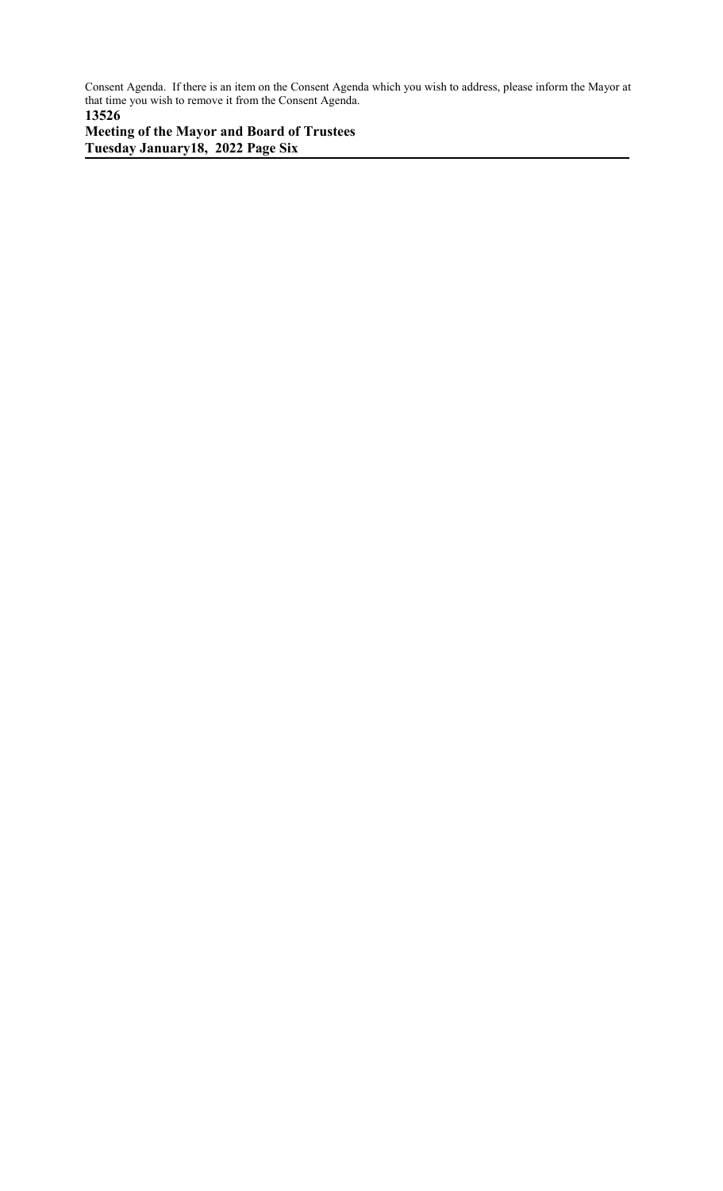Consent Agenda. If there is an item on the Consent Agenda which you wish to address, please inform the Mayor at that time you wish to remove it from the Consent Agenda. **13526**

**Meeting of the Mayor and Board of Trustees Tuesday January18, 2022 Page Six**